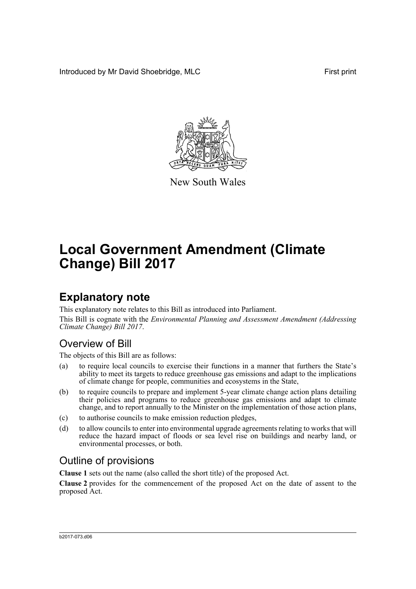Introduced by Mr David Shoebridge, MLC First print



New South Wales

# **Local Government Amendment (Climate Change) Bill 2017**

## **Explanatory note**

This explanatory note relates to this Bill as introduced into Parliament.

This Bill is cognate with the *Environmental Planning and Assessment Amendment (Addressing Climate Change) Bill 2017*.

## Overview of Bill

The objects of this Bill are as follows:

- (a) to require local councils to exercise their functions in a manner that furthers the State's ability to meet its targets to reduce greenhouse gas emissions and adapt to the implications of climate change for people, communities and ecosystems in the State,
- (b) to require councils to prepare and implement 5-year climate change action plans detailing their policies and programs to reduce greenhouse gas emissions and adapt to climate change, and to report annually to the Minister on the implementation of those action plans,
- (c) to authorise councils to make emission reduction pledges,
- (d) to allow councils to enter into environmental upgrade agreements relating to works that will reduce the hazard impact of floods or sea level rise on buildings and nearby land, or environmental processes, or both.

## Outline of provisions

**Clause 1** sets out the name (also called the short title) of the proposed Act.

**Clause 2** provides for the commencement of the proposed Act on the date of assent to the proposed Act.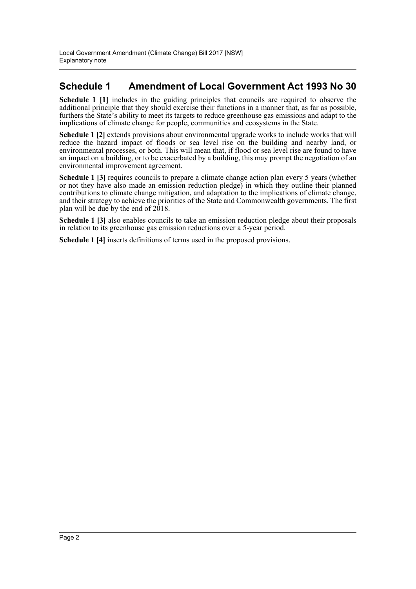### **Schedule 1 Amendment of Local Government Act 1993 No 30**

**Schedule 1 [1]** includes in the guiding principles that councils are required to observe the additional principle that they should exercise their functions in a manner that, as far as possible, furthers the State's ability to meet its targets to reduce greenhouse gas emissions and adapt to the implications of climate change for people, communities and ecosystems in the State.

**Schedule 1 [2]** extends provisions about environmental upgrade works to include works that will reduce the hazard impact of floods or sea level rise on the building and nearby land, or environmental processes, or both. This will mean that, if flood or sea level rise are found to have an impact on a building, or to be exacerbated by a building, this may prompt the negotiation of an environmental improvement agreement.

**Schedule 1 [3]** requires councils to prepare a climate change action plan every 5 years (whether or not they have also made an emission reduction pledge) in which they outline their planned contributions to climate change mitigation, and adaptation to the implications of climate change, and their strategy to achieve the priorities of the State and Commonwealth governments. The first plan will be due by the end of  $2018$ .

**Schedule 1 [3]** also enables councils to take an emission reduction pledge about their proposals in relation to its greenhouse gas emission reductions over a 5-year period.

**Schedule 1 [4]** inserts definitions of terms used in the proposed provisions.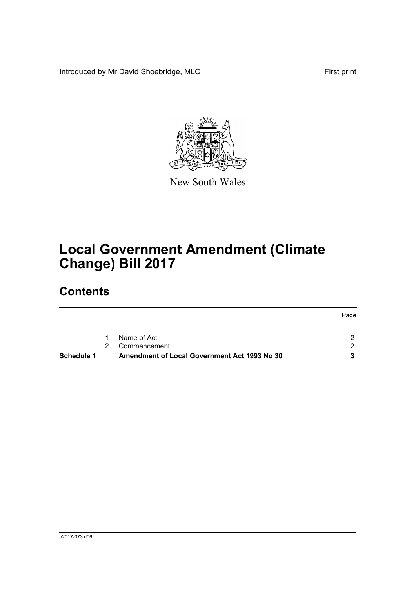Introduced by Mr David Shoebridge, MLC First print



New South Wales

# **Local Government Amendment (Climate Change) Bill 2017**

## **Contents**

| <b>Schedule 1</b> |             | Amendment of Local Government Act 1993 No 30 |      |
|-------------------|-------------|----------------------------------------------|------|
|                   | $2^{\circ}$ | Commencement                                 | ົາ   |
|                   | $1 \quad$   | Name of Act                                  |      |
|                   |             |                                              | Page |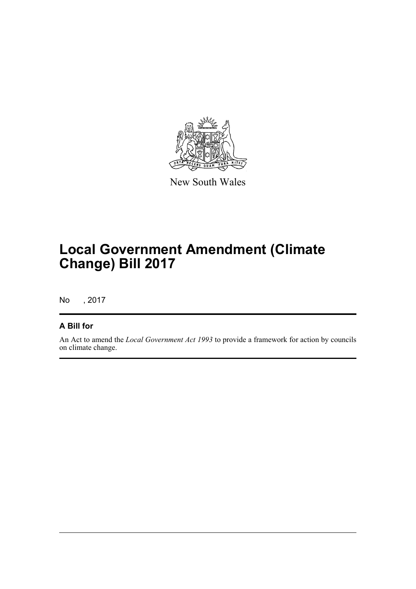

New South Wales

## **Local Government Amendment (Climate Change) Bill 2017**

No , 2017

### **A Bill for**

An Act to amend the *Local Government Act 1993* to provide a framework for action by councils on climate change.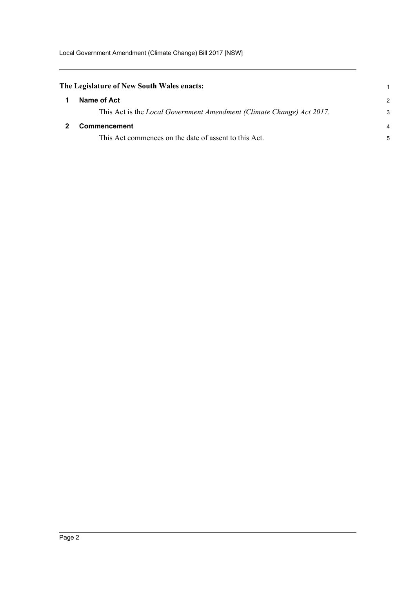Local Government Amendment (Climate Change) Bill 2017 [NSW]

<span id="page-4-1"></span><span id="page-4-0"></span>

| The Legislature of New South Wales enacts:                            |                |
|-----------------------------------------------------------------------|----------------|
| Name of Act                                                           | $\mathcal{P}$  |
| This Act is the Local Government Amendment (Climate Change) Act 2017. | 3              |
| <b>Commencement</b>                                                   | $\overline{4}$ |
| This Act commences on the date of assent to this Act.                 | 5              |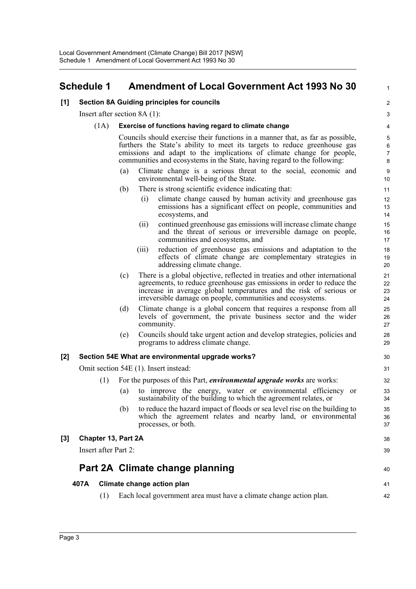### <span id="page-5-0"></span>**Schedule 1 Amendment of Local Government Act 1993 No 30**

#### **[1] Section 8A Guiding principles for councils**

Insert after section 8A (1):

#### (1A) **Exercise of functions having regard to climate change**

Councils should exercise their functions in a manner that, as far as possible, furthers the State's ability to meet its targets to reduce greenhouse gas emissions and adapt to the implications of climate change for people, communities and ecosystems in the State, having regard to the following:

- (a) Climate change is a serious threat to the social, economic and environmental well-being of the State.
- (b) There is strong scientific evidence indicating that:
	- (i) climate change caused by human activity and greenhouse gas emissions has a significant effect on people, communities and ecosystems, and

1

38 39

40

41 42

- (ii) continued greenhouse gas emissions will increase climate change and the threat of serious or irreversible damage on people, communities and ecosystems, and
- (iii) reduction of greenhouse gas emissions and adaptation to the effects of climate change are complementary strategies in addressing climate change.
- (c) There is a global objective, reflected in treaties and other international agreements, to reduce greenhouse gas emissions in order to reduce the increase in average global temperatures and the risk of serious or irreversible damage on people, communities and ecosystems.
- (d) Climate change is a global concern that requires a response from all levels of government, the private business sector and the wider community.
- (e) Councils should take urgent action and develop strategies, policies and programs to address climate change.

#### **[2] Section 54E What are environmental upgrade works?**

Omit section 54E (1). Insert instead:

- (1) For the purposes of this Part, *environmental upgrade works* are works:
	- (a) to improve the energy, water or environmental efficiency or sustainability of the building to which the agreement relates, or
	- (b) to reduce the hazard impact of floods or sea level rise on the building to which the agreement relates and nearby land, or environmental processes, or both.

## **[3] Chapter 13, Part 2A**

Insert after Part 2:

### **Part 2A Climate change planning**

#### **407A Climate change action plan**

(1) Each local government area must have a climate change action plan.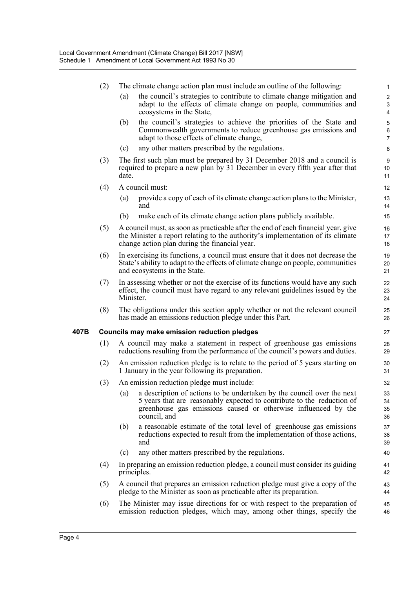|      | (2) |                                                                                                                                                                    | The climate change action plan must include an outline of the following:                                                                                                                                                               | $\mathbf{1}$                                                  |  |
|------|-----|--------------------------------------------------------------------------------------------------------------------------------------------------------------------|----------------------------------------------------------------------------------------------------------------------------------------------------------------------------------------------------------------------------------------|---------------------------------------------------------------|--|
|      |     | (a)                                                                                                                                                                | the council's strategies to contribute to climate change mitigation and<br>adapt to the effects of climate change on people, communities and<br>ecosystems in the State,                                                               | $\overline{c}$<br>$\ensuremath{\mathsf{3}}$<br>$\overline{4}$ |  |
|      |     | (b)                                                                                                                                                                | the council's strategies to achieve the priorities of the State and<br>Commonwealth governments to reduce greenhouse gas emissions and<br>adapt to those effects of climate change,                                                    | $\sqrt{5}$<br>6<br>$\overline{7}$                             |  |
|      |     | (c)                                                                                                                                                                | any other matters prescribed by the regulations.                                                                                                                                                                                       | 8                                                             |  |
|      | (3) | The first such plan must be prepared by 31 December 2018 and a council is<br>required to prepare a new plan by 31 December in every fifth year after that<br>date. |                                                                                                                                                                                                                                        |                                                               |  |
|      | (4) | A council must:                                                                                                                                                    |                                                                                                                                                                                                                                        |                                                               |  |
|      |     | (a)                                                                                                                                                                | provide a copy of each of its climate change action plans to the Minister,<br>and                                                                                                                                                      | 13<br>14                                                      |  |
|      |     | (b)                                                                                                                                                                | make each of its climate change action plans publicly available.                                                                                                                                                                       | 15                                                            |  |
|      | (5) |                                                                                                                                                                    | A council must, as soon as practicable after the end of each financial year, give<br>the Minister a report relating to the authority's implementation of its climate<br>change action plan during the financial year.                  | 16<br>17<br>18                                                |  |
|      | (6) |                                                                                                                                                                    | In exercising its functions, a council must ensure that it does not decrease the<br>State's ability to adapt to the effects of climate change on people, communities<br>and ecosystems in the State.                                   | 19<br>20<br>21                                                |  |
|      | (7) | Minister.                                                                                                                                                          | In assessing whether or not the exercise of its functions would have any such<br>effect, the council must have regard to any relevant guidelines issued by the                                                                         | 22<br>23<br>24                                                |  |
|      | (8) |                                                                                                                                                                    | The obligations under this section apply whether or not the relevant council<br>has made an emissions reduction pledge under this Part.                                                                                                | 25<br>26                                                      |  |
| 407B |     |                                                                                                                                                                    | <b>Councils may make emission reduction pledges</b>                                                                                                                                                                                    | 27                                                            |  |
|      | (1) | A council may make a statement in respect of greenhouse gas emissions<br>reductions resulting from the performance of the council's powers and duties.             |                                                                                                                                                                                                                                        |                                                               |  |
|      | (2) | An emission reduction pledge is to relate to the period of 5 years starting on<br>1 January in the year following its preparation.                                 |                                                                                                                                                                                                                                        |                                                               |  |
|      | (3) |                                                                                                                                                                    | An emission reduction pledge must include:                                                                                                                                                                                             | 32                                                            |  |
|      |     |                                                                                                                                                                    | (a) a description of actions to be undertaken by the council over the next<br>5 years that are reasonably expected to contribute to the reduction of<br>greenhouse gas emissions caused or otherwise influenced by the<br>council, and | 33<br>34<br>35<br>36                                          |  |
|      |     | (b)                                                                                                                                                                | a reasonable estimate of the total level of greenhouse gas emissions<br>reductions expected to result from the implementation of those actions,<br>and                                                                                 | 37<br>38<br>39                                                |  |
|      |     | (c)                                                                                                                                                                | any other matters prescribed by the regulations.                                                                                                                                                                                       | 40                                                            |  |
|      | (4) | In preparing an emission reduction pledge, a council must consider its guiding<br>principles.                                                                      |                                                                                                                                                                                                                                        | 41<br>42                                                      |  |
|      | (5) | A council that prepares an emission reduction pledge must give a copy of the<br>pledge to the Minister as soon as practicable after its preparation.               |                                                                                                                                                                                                                                        |                                                               |  |
|      | (6) |                                                                                                                                                                    | The Minister may issue directions for or with respect to the preparation of<br>emission reduction pledges, which may, among other things, specify the                                                                                  | 45<br>46                                                      |  |